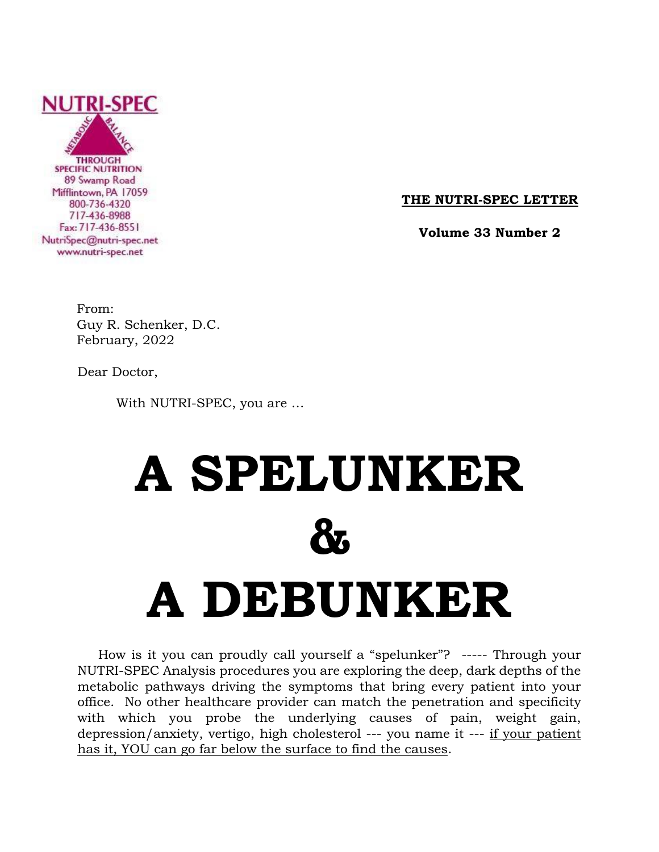

**THE NUTRI-SPEC LETTER**

 **Volume 33 Number 2**

From: Guy R. Schenker, D.C. February, 2022

Dear Doctor,

With NUTRI-SPEC, you are …

# **A SPELUNKER & A DEBUNKER**

 How is it you can proudly call yourself a "spelunker"? ----- Through your NUTRI-SPEC Analysis procedures you are exploring the deep, dark depths of the metabolic pathways driving the symptoms that bring every patient into your office. No other healthcare provider can match the penetration and specificity with which you probe the underlying causes of pain, weight gain, depression/anxiety, vertigo, high cholesterol --- you name it --- if your patient has it, YOU can go far below the surface to find the causes.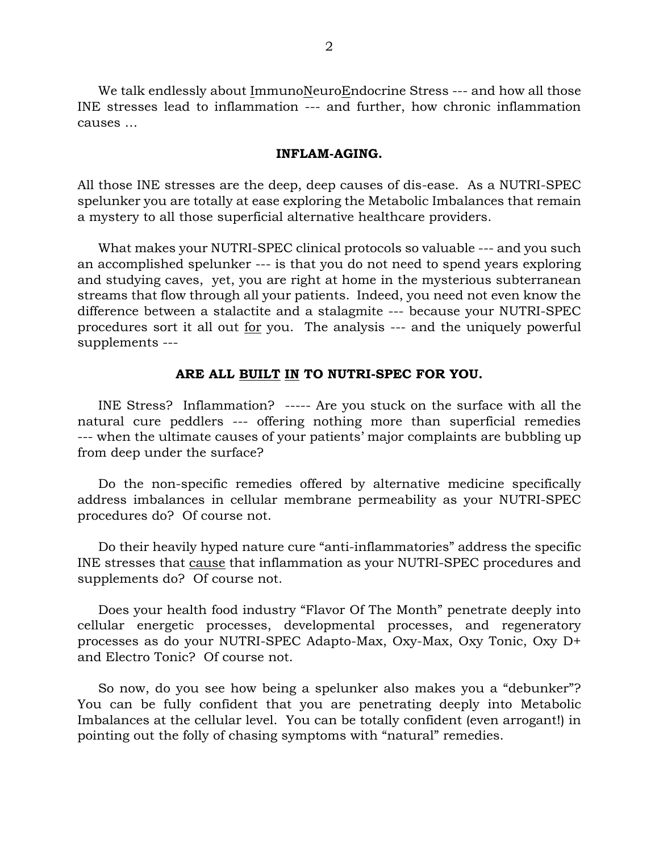We talk endlessly about ImmunoNeuroEndocrine Stress --- and how all those INE stresses lead to inflammation --- and further, how chronic inflammation causes …

#### **INFLAM-AGING.**

All those INE stresses are the deep, deep causes of dis-ease. As a NUTRI-SPEC spelunker you are totally at ease exploring the Metabolic Imbalances that remain a mystery to all those superficial alternative healthcare providers.

 What makes your NUTRI-SPEC clinical protocols so valuable --- and you such an accomplished spelunker --- is that you do not need to spend years exploring and studying caves, yet, you are right at home in the mysterious subterranean streams that flow through all your patients. Indeed, you need not even know the difference between a stalactite and a stalagmite --- because your NUTRI-SPEC procedures sort it all out for you. The analysis --- and the uniquely powerful supplements ---

### **ARE ALL BUILT IN TO NUTRI-SPEC FOR YOU.**

 INE Stress? Inflammation? ----- Are you stuck on the surface with all the natural cure peddlers --- offering nothing more than superficial remedies --- when the ultimate causes of your patients' major complaints are bubbling up from deep under the surface?

 Do the non-specific remedies offered by alternative medicine specifically address imbalances in cellular membrane permeability as your NUTRI-SPEC procedures do? Of course not.

 Do their heavily hyped nature cure "anti-inflammatories" address the specific INE stresses that cause that inflammation as your NUTRI-SPEC procedures and supplements do? Of course not.

 Does your health food industry "Flavor Of The Month" penetrate deeply into cellular energetic processes, developmental processes, and regeneratory processes as do your NUTRI-SPEC Adapto-Max, Oxy-Max, Oxy Tonic, Oxy D+ and Electro Tonic? Of course not.

 So now, do you see how being a spelunker also makes you a "debunker"? You can be fully confident that you are penetrating deeply into Metabolic Imbalances at the cellular level. You can be totally confident (even arrogant!) in pointing out the folly of chasing symptoms with "natural" remedies.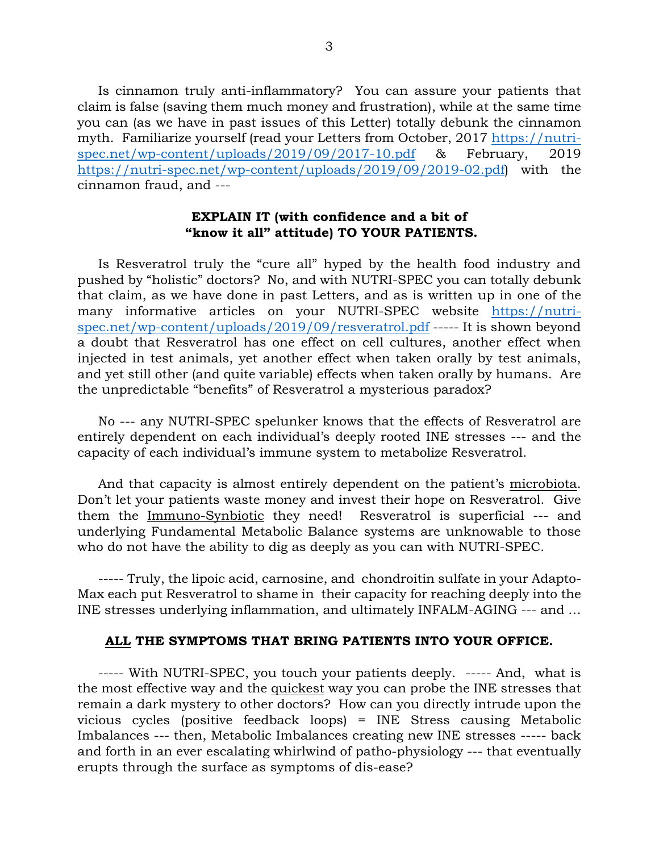Is cinnamon truly anti-inflammatory? You can assure your patients that claim is false (saving them much money and frustration), while at the same time you can (as we have in past issues of this Letter) totally debunk the cinnamon myth. Familiarize yourself (read your Letters from October, 2017 [https://nutri](https://nutri-spec.net/wp-content/uploads/2019/09/2017-10.pdf)[spec.net/wp-content/uploads/2019/09/2017-10.pdf](https://nutri-spec.net/wp-content/uploads/2019/09/2017-10.pdf) & February, 2019 [https://nutri-spec.net/wp-content/uploads/2019/09/2019-02.pdf\)](https://nutri-spec.net/wp-content/uploads/2019/09/2019-02.pdf) with the cinnamon fraud, and ---

# **EXPLAIN IT (with confidence and a bit of "know it all" attitude) TO YOUR PATIENTS.**

 Is Resveratrol truly the "cure all" hyped by the health food industry and pushed by "holistic" doctors? No, and with NUTRI-SPEC you can totally debunk that claim, as we have done in past Letters, and as is written up in one of the many informative articles on your NUTRI-SPEC website [https://nutri](https://nutri-spec.net/wp-content/uploads/2019/09/resveratrol.pdf)[spec.net/wp-content/uploads/2019/09/resveratrol.pdf](https://nutri-spec.net/wp-content/uploads/2019/09/resveratrol.pdf) ----- It is shown beyond a doubt that Resveratrol has one effect on cell cultures, another effect when injected in test animals, yet another effect when taken orally by test animals, and yet still other (and quite variable) effects when taken orally by humans. Are the unpredictable "benefits" of Resveratrol a mysterious paradox?

 No --- any NUTRI-SPEC spelunker knows that the effects of Resveratrol are entirely dependent on each individual's deeply rooted INE stresses --- and the capacity of each individual's immune system to metabolize Resveratrol.

 And that capacity is almost entirely dependent on the patient's microbiota. Don't let your patients waste money and invest their hope on Resveratrol. Give them the Immuno-Synbiotic they need! Resveratrol is superficial --- and underlying Fundamental Metabolic Balance systems are unknowable to those who do not have the ability to dig as deeply as you can with NUTRI-SPEC.

 ----- Truly, the lipoic acid, carnosine, and chondroitin sulfate in your Adapto-Max each put Resveratrol to shame in their capacity for reaching deeply into the INE stresses underlying inflammation, and ultimately INFALM-AGING --- and …

# **ALL THE SYMPTOMS THAT BRING PATIENTS INTO YOUR OFFICE.**

 ----- With NUTRI-SPEC, you touch your patients deeply. ----- And, what is the most effective way and the quickest way you can probe the INE stresses that remain a dark mystery to other doctors? How can you directly intrude upon the vicious cycles (positive feedback loops) = INE Stress causing Metabolic Imbalances --- then, Metabolic Imbalances creating new INE stresses ----- back and forth in an ever escalating whirlwind of patho-physiology --- that eventually erupts through the surface as symptoms of dis-ease?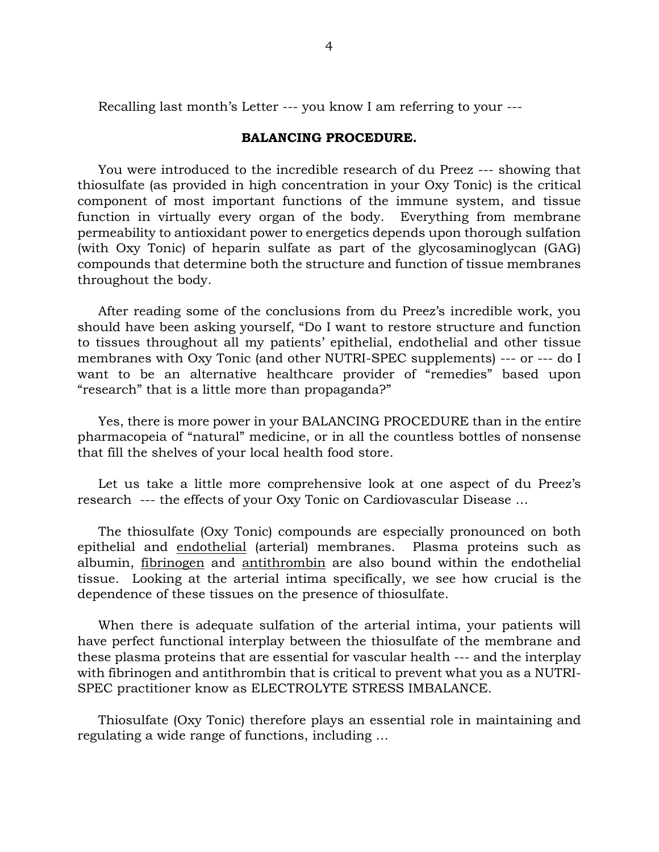Recalling last month's Letter --- you know I am referring to your ---

## **BALANCING PROCEDURE.**

 You were introduced to the incredible research of du Preez --- showing that thiosulfate (as provided in high concentration in your Oxy Tonic) is the critical component of most important functions of the immune system, and tissue function in virtually every organ of the body. Everything from membrane permeability to antioxidant power to energetics depends upon thorough sulfation (with Oxy Tonic) of heparin sulfate as part of the glycosaminoglycan (GAG) compounds that determine both the structure and function of tissue membranes throughout the body.

 After reading some of the conclusions from du Preez's incredible work, you should have been asking yourself, "Do I want to restore structure and function to tissues throughout all my patients' epithelial, endothelial and other tissue membranes with Oxy Tonic (and other NUTRI-SPEC supplements) --- or --- do I want to be an alternative healthcare provider of "remedies" based upon "research" that is a little more than propaganda?"

 Yes, there is more power in your BALANCING PROCEDURE than in the entire pharmacopeia of "natural" medicine, or in all the countless bottles of nonsense that fill the shelves of your local health food store.

 Let us take a little more comprehensive look at one aspect of du Preez's research --- the effects of your Oxy Tonic on Cardiovascular Disease …

 The thiosulfate (Oxy Tonic) compounds are especially pronounced on both epithelial and endothelial (arterial) membranes. Plasma proteins such as albumin, fibrinogen and antithrombin are also bound within the endothelial tissue. Looking at the arterial intima specifically, we see how crucial is the dependence of these tissues on the presence of thiosulfate.

 When there is adequate sulfation of the arterial intima, your patients will have perfect functional interplay between the thiosulfate of the membrane and these plasma proteins that are essential for vascular health --- and the interplay with fibrinogen and antithrombin that is critical to prevent what you as a NUTRI-SPEC practitioner know as ELECTROLYTE STRESS IMBALANCE.

 Thiosulfate (Oxy Tonic) therefore plays an essential role in maintaining and regulating a wide range of functions, including …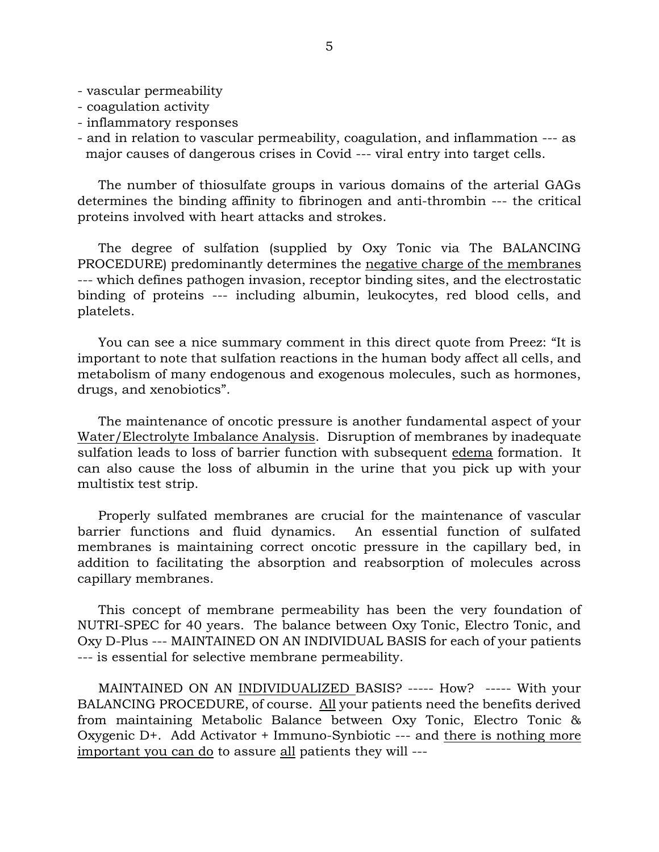- vascular permeability
- coagulation activity
- inflammatory responses
- and in relation to vascular permeability, coagulation, and inflammation --- as major causes of dangerous crises in Covid --- viral entry into target cells.

 The number of thiosulfate groups in various domains of the arterial GAGs determines the binding affinity to fibrinogen and anti-thrombin --- the critical proteins involved with heart attacks and strokes.

 The degree of sulfation (supplied by Oxy Tonic via The BALANCING PROCEDURE) predominantly determines the negative charge of the membranes --- which defines pathogen invasion, receptor binding sites, and the electrostatic binding of proteins --- including albumin, leukocytes, red blood cells, and platelets.

 You can see a nice summary comment in this direct quote from Preez: "It is important to note that sulfation reactions in the human body affect all cells, and metabolism of many endogenous and exogenous molecules, such as hormones, drugs, and xenobiotics".

 The maintenance of oncotic pressure is another fundamental aspect of your Water/Electrolyte Imbalance Analysis. Disruption of membranes by inadequate sulfation leads to loss of barrier function with subsequent edema formation. It can also cause the loss of albumin in the urine that you pick up with your multistix test strip.

 Properly sulfated membranes are crucial for the maintenance of vascular barrier functions and fluid dynamics. An essential function of sulfated membranes is maintaining correct oncotic pressure in the capillary bed, in addition to facilitating the absorption and reabsorption of molecules across capillary membranes.

 This concept of membrane permeability has been the very foundation of NUTRI-SPEC for 40 years. The balance between Oxy Tonic, Electro Tonic, and Oxy D-Plus --- MAINTAINED ON AN INDIVIDUAL BASIS for each of your patients --- is essential for selective membrane permeability.

 MAINTAINED ON AN INDIVIDUALIZED BASIS? ----- How? ----- With your BALANCING PROCEDURE, of course. All your patients need the benefits derived from maintaining Metabolic Balance between Oxy Tonic, Electro Tonic & Oxygenic D+. Add Activator + Immuno-Synbiotic --- and there is nothing more important you can do to assure all patients they will ---